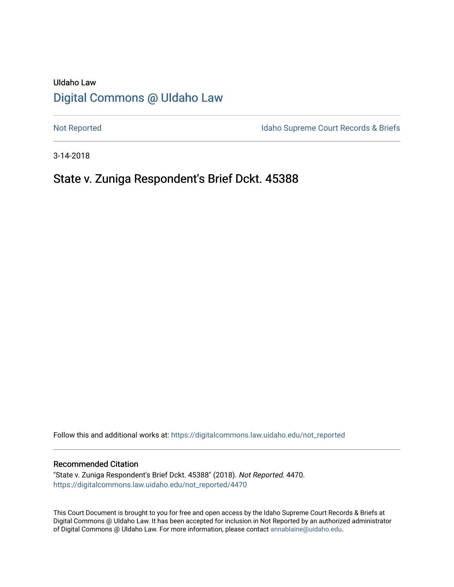# UIdaho Law [Digital Commons @ UIdaho Law](https://digitalcommons.law.uidaho.edu/)

[Not Reported](https://digitalcommons.law.uidaho.edu/not_reported) **Idaho Supreme Court Records & Briefs** 

3-14-2018

# State v. Zuniga Respondent's Brief Dckt. 45388

Follow this and additional works at: [https://digitalcommons.law.uidaho.edu/not\\_reported](https://digitalcommons.law.uidaho.edu/not_reported?utm_source=digitalcommons.law.uidaho.edu%2Fnot_reported%2F4470&utm_medium=PDF&utm_campaign=PDFCoverPages) 

#### Recommended Citation

"State v. Zuniga Respondent's Brief Dckt. 45388" (2018). Not Reported. 4470. [https://digitalcommons.law.uidaho.edu/not\\_reported/4470](https://digitalcommons.law.uidaho.edu/not_reported/4470?utm_source=digitalcommons.law.uidaho.edu%2Fnot_reported%2F4470&utm_medium=PDF&utm_campaign=PDFCoverPages)

This Court Document is brought to you for free and open access by the Idaho Supreme Court Records & Briefs at Digital Commons @ UIdaho Law. It has been accepted for inclusion in Not Reported by an authorized administrator of Digital Commons @ UIdaho Law. For more information, please contact [annablaine@uidaho.edu](mailto:annablaine@uidaho.edu).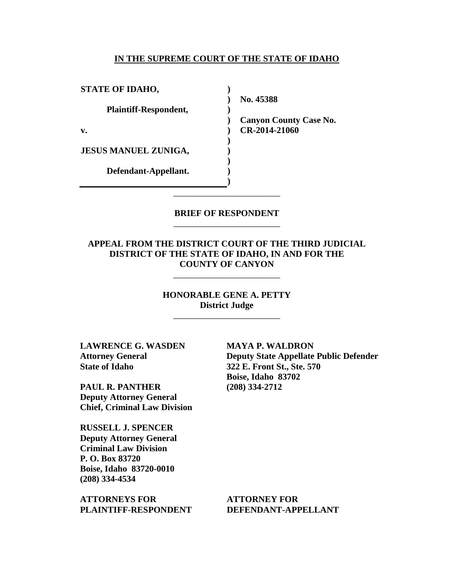#### **IN THE SUPREME COURT OF THE STATE OF IDAHO**

**)**

**)**

**) ) ) ) ) )**

| <b>STATE OF IDAHO,</b>       |
|------------------------------|
| <b>Plaintiff-Respondent,</b> |
| v.                           |
| <b>JESUS MANUEL ZUNIGA,</b>  |
| Defendant-Appellant.         |

**) No. 45388** 

**) Canyon County Case No. CR-2014-21060** 

## **BRIEF OF RESPONDENT** \_\_\_\_\_\_\_\_\_\_\_\_\_\_\_\_\_\_\_\_\_\_\_\_

\_\_\_\_\_\_\_\_\_\_\_\_\_\_\_\_\_\_\_\_\_\_\_\_

## **APPEAL FROM THE DISTRICT COURT OF THE THIRD JUDICIAL DISTRICT OF THE STATE OF IDAHO, IN AND FOR THE COUNTY OF CANYON**

\_\_\_\_\_\_\_\_\_\_\_\_\_\_\_\_\_\_\_\_\_\_\_\_

## **HONORABLE GENE A. PETTY District Judge**

\_\_\_\_\_\_\_\_\_\_\_\_\_\_\_\_\_\_\_\_\_\_\_\_

**LAWRENCE G. WASDEN Attorney General State of Idaho**

**PAUL R. PANTHER Deputy Attorney General Chief, Criminal Law Division**

**RUSSELL J. SPENCER Deputy Attorney General Criminal Law Division P. O. Box 83720 Boise, Idaho 83720-0010 (208) 334-4534** 

**ATTORNEYS FOR PLAINTIFF-RESPONDENT** **MAYA P. WALDRON Deputy State Appellate Public Defender 322 E. Front St., Ste. 570 Boise, Idaho 83702 (208) 334-2712** 

**ATTORNEY FOR DEFENDANT-APPELLANT**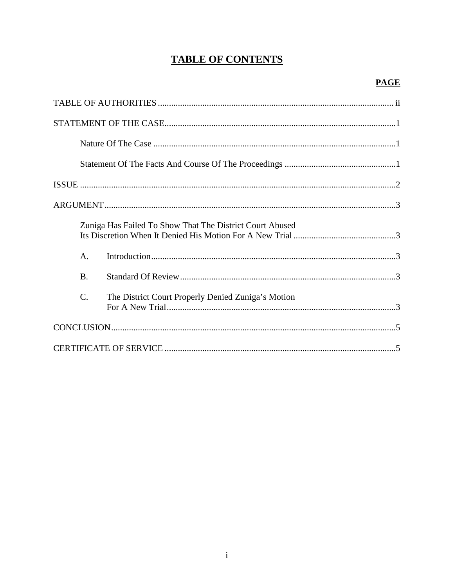# **TABLE OF CONTENTS**

|                 | Zuniga Has Failed To Show That The District Court Abused |  |
|-----------------|----------------------------------------------------------|--|
| A.              |                                                          |  |
| <b>B.</b>       |                                                          |  |
| $\mathcal{C}$ . | The District Court Properly Denied Zuniga's Motion       |  |
|                 |                                                          |  |
|                 |                                                          |  |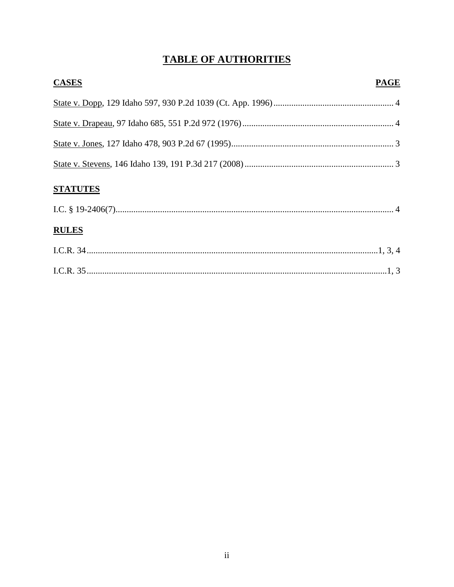# **TABLE OF AUTHORITIES**

| <b>CASES</b>                               | <b>PAGE</b> |
|--------------------------------------------|-------------|
|                                            |             |
|                                            |             |
|                                            |             |
|                                            |             |
| $C_{\rm I}$ and $C_{\rm I}$ in $C_{\rm I}$ |             |

# **STATUTES**

| <b>RULES</b> |  |
|--------------|--|
|              |  |
|              |  |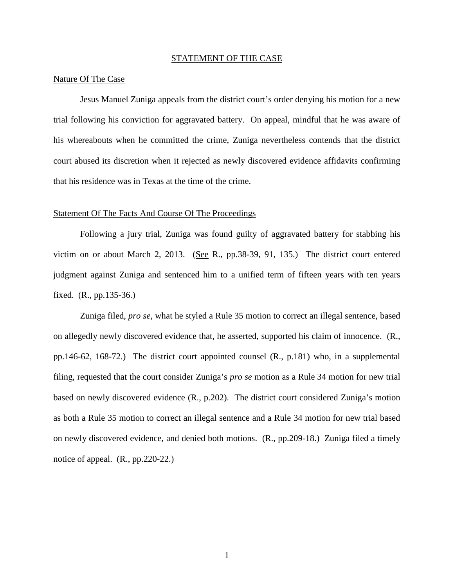#### STATEMENT OF THE CASE

#### Nature Of The Case

Jesus Manuel Zuniga appeals from the district court's order denying his motion for a new trial following his conviction for aggravated battery. On appeal, mindful that he was aware of his whereabouts when he committed the crime, Zuniga nevertheless contends that the district court abused its discretion when it rejected as newly discovered evidence affidavits confirming that his residence was in Texas at the time of the crime.

#### Statement Of The Facts And Course Of The Proceedings

Following a jury trial, Zuniga was found guilty of aggravated battery for stabbing his victim on or about March 2, 2013. (See R., pp.38-39, 91, 135.) The district court entered judgment against Zuniga and sentenced him to a unified term of fifteen years with ten years fixed. (R., pp.135-36.)

Zuniga filed, *pro se*, what he styled a Rule 35 motion to correct an illegal sentence, based on allegedly newly discovered evidence that, he asserted, supported his claim of innocence. (R., pp.146-62, 168-72.) The district court appointed counsel (R., p.181) who, in a supplemental filing, requested that the court consider Zuniga's *pro se* motion as a Rule 34 motion for new trial based on newly discovered evidence (R., p.202). The district court considered Zuniga's motion as both a Rule 35 motion to correct an illegal sentence and a Rule 34 motion for new trial based on newly discovered evidence, and denied both motions. (R., pp.209-18.) Zuniga filed a timely notice of appeal. (R., pp.220-22.)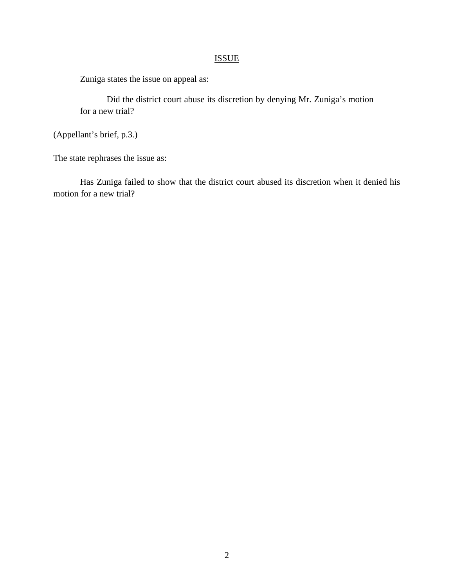# ISSUE

Zuniga states the issue on appeal as:

Did the district court abuse its discretion by denying Mr. Zuniga's motion for a new trial?

(Appellant's brief, p.3.)

The state rephrases the issue as:

Has Zuniga failed to show that the district court abused its discretion when it denied his motion for a new trial?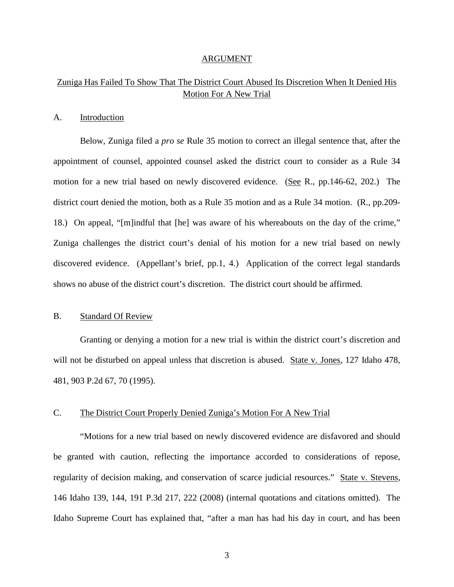#### ARGUMENT

## Zuniga Has Failed To Show That The District Court Abused Its Discretion When It Denied His Motion For A New Trial

#### A. Introduction

Below, Zuniga filed a *pro se* Rule 35 motion to correct an illegal sentence that, after the appointment of counsel, appointed counsel asked the district court to consider as a Rule 34 motion for a new trial based on newly discovered evidence. (See R., pp.146-62, 202.) The district court denied the motion, both as a Rule 35 motion and as a Rule 34 motion. (R., pp.209- 18.) On appeal, "[m]indful that [he] was aware of his whereabouts on the day of the crime," Zuniga challenges the district court's denial of his motion for a new trial based on newly discovered evidence. (Appellant's brief, pp.1, 4.) Application of the correct legal standards shows no abuse of the district court's discretion. The district court should be affirmed.

### B. Standard Of Review

Granting or denying a motion for a new trial is within the district court's discretion and will not be disturbed on appeal unless that discretion is abused. State v. Jones, 127 Idaho 478, 481, 903 P.2d 67, 70 (1995).

## C. The District Court Properly Denied Zuniga's Motion For A New Trial

"Motions for a new trial based on newly discovered evidence are disfavored and should be granted with caution, reflecting the importance accorded to considerations of repose, regularity of decision making, and conservation of scarce judicial resources." State v. Stevens, 146 Idaho 139, 144, 191 P.3d 217, 222 (2008) (internal quotations and citations omitted). The Idaho Supreme Court has explained that, "after a man has had his day in court, and has been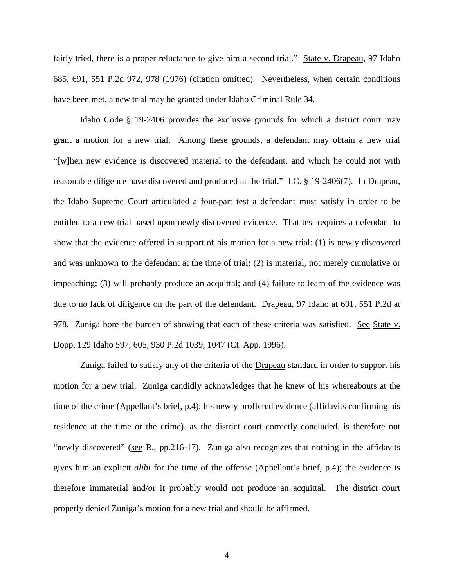fairly tried, there is a proper reluctance to give him a second trial." State v. Drapeau, 97 Idaho 685, 691, 551 P.2d 972, 978 (1976) (citation omitted). Nevertheless, when certain conditions have been met, a new trial may be granted under Idaho Criminal Rule 34.

Idaho Code § 19-2406 provides the exclusive grounds for which a district court may grant a motion for a new trial. Among these grounds, a defendant may obtain a new trial "[w]hen new evidence is discovered material to the defendant, and which he could not with reasonable diligence have discovered and produced at the trial." I.C. § 19-2406(7). In Drapeau, the Idaho Supreme Court articulated a four-part test a defendant must satisfy in order to be entitled to a new trial based upon newly discovered evidence. That test requires a defendant to show that the evidence offered in support of his motion for a new trial: (1) is newly discovered and was unknown to the defendant at the time of trial; (2) is material, not merely cumulative or impeaching; (3) will probably produce an acquittal; and (4) failure to learn of the evidence was due to no lack of diligence on the part of the defendant. Drapeau, 97 Idaho at 691, 551 P.2d at 978. Zuniga bore the burden of showing that each of these criteria was satisfied. See State v. Dopp, 129 Idaho 597, 605, 930 P.2d 1039, 1047 (Ct. App. 1996).

Zuniga failed to satisfy any of the criteria of the Drapeau standard in order to support his motion for a new trial. Zuniga candidly acknowledges that he knew of his whereabouts at the time of the crime (Appellant's brief, p.4); his newly proffered evidence (affidavits confirming his residence at the time or the crime), as the district court correctly concluded, is therefore not "newly discovered" (see R., pp.216-17). Zuniga also recognizes that nothing in the affidavits gives him an explicit *alibi* for the time of the offense (Appellant's brief, p.4); the evidence is therefore immaterial and/or it probably would not produce an acquittal. The district court properly denied Zuniga's motion for a new trial and should be affirmed.